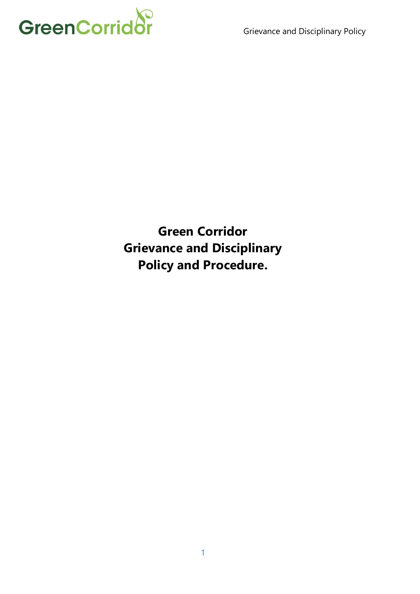

**Green Corridor Grievance and Disciplinary Policy and Procedure.**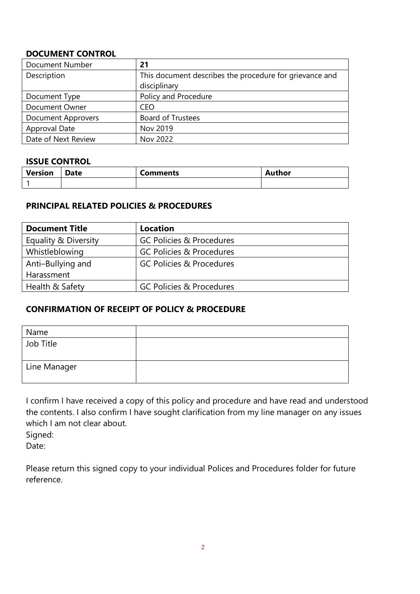# **DOCUMENT CONTROL**

| <b>Document Number</b>    | 21                                                      |
|---------------------------|---------------------------------------------------------|
| Description               | This document describes the procedure for grievance and |
|                           | disciplinary                                            |
| Document Type             | Policy and Procedure                                    |
| Document Owner            | <b>CEO</b>                                              |
| <b>Document Approvers</b> | <b>Board of Trustees</b>                                |
| Approval Date             | Nov 2019                                                |
| Date of Next Review       | Nov 2022                                                |

# **ISSUE CONTROL**

| Version | Date | Comments | Author |
|---------|------|----------|--------|
|         |      |          |        |

# **PRINCIPAL RELATED POLICIES & PROCEDURES**

| <b>Document Title</b> | <b>Location</b>                     |
|-----------------------|-------------------------------------|
| Equality & Diversity  | <b>GC Policies &amp; Procedures</b> |
| Whistleblowing        | <b>GC Policies &amp; Procedures</b> |
| Anti-Bullying and     | <b>GC Policies &amp; Procedures</b> |
| Harassment            |                                     |
| Health & Safety       | <b>GC Policies &amp; Procedures</b> |

# **CONFIRMATION OF RECEIPT OF POLICY & PROCEDURE**

| Name         |  |
|--------------|--|
| Job Title    |  |
| Line Manager |  |

I confirm I have received a copy of this policy and procedure and have read and understood the contents. I also confirm I have sought clarification from my line manager on any issues which I am not clear about.

Signed:

Date:

Please return this signed copy to your individual Polices and Procedures folder for future reference.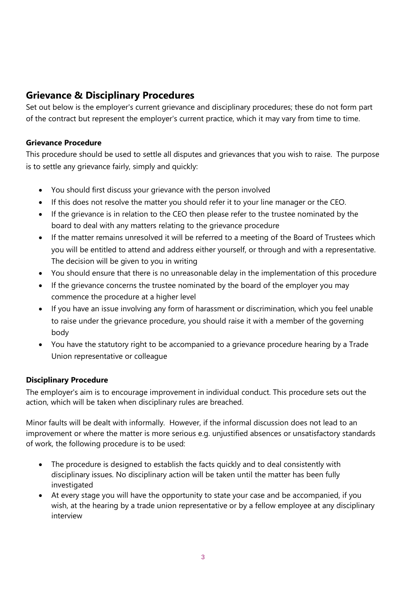# **Grievance & Disciplinary Procedures**

Set out below is the employer's current grievance and disciplinary procedures; these do not form part of the contract but represent the employer's current practice, which it may vary from time to time.

# **Grievance Procedure**

This procedure should be used to settle all disputes and grievances that you wish to raise. The purpose is to settle any grievance fairly, simply and quickly:

- You should first discuss your grievance with the person involved
- If this does not resolve the matter you should refer it to your line manager or the CEO.
- If the grievance is in relation to the CEO then please refer to the trustee nominated by the board to deal with any matters relating to the grievance procedure
- If the matter remains unresolved it will be referred to a meeting of the Board of Trustees which you will be entitled to attend and address either yourself, or through and with a representative. The decision will be given to you in writing
- You should ensure that there is no unreasonable delay in the implementation of this procedure
- If the grievance concerns the trustee nominated by the board of the employer you may commence the procedure at a higher level
- If you have an issue involving any form of harassment or discrimination, which you feel unable to raise under the grievance procedure, you should raise it with a member of the governing body
- You have the statutory right to be accompanied to a grievance procedure hearing by a Trade Union representative or colleague

# **Disciplinary Procedure**

The employer's aim is to encourage improvement in individual conduct. This procedure sets out the action, which will be taken when disciplinary rules are breached.

Minor faults will be dealt with informally. However, if the informal discussion does not lead to an improvement or where the matter is more serious e.g. unjustified absences or unsatisfactory standards of work, the following procedure is to be used:

- The procedure is designed to establish the facts quickly and to deal consistently with disciplinary issues. No disciplinary action will be taken until the matter has been fully investigated
- At every stage you will have the opportunity to state your case and be accompanied, if you wish, at the hearing by a trade union representative or by a fellow employee at any disciplinary interview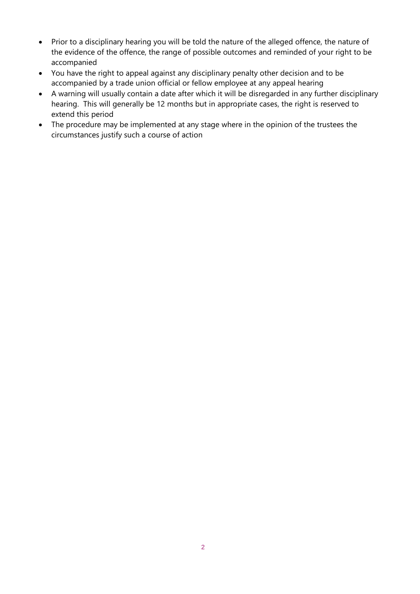- Prior to a disciplinary hearing you will be told the nature of the alleged offence, the nature of the evidence of the offence, the range of possible outcomes and reminded of your right to be accompanied
- You have the right to appeal against any disciplinary penalty other decision and to be accompanied by a trade union official or fellow employee at any appeal hearing
- A warning will usually contain a date after which it will be disregarded in any further disciplinary hearing. This will generally be 12 months but in appropriate cases, the right is reserved to extend this period
- The procedure may be implemented at any stage where in the opinion of the trustees the circumstances justify such a course of action